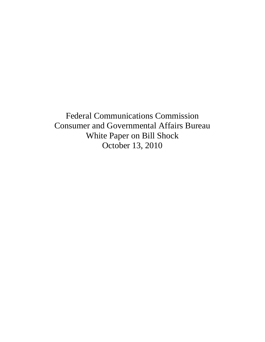Federal Communications Commission Consumer and Governmental Affairs Bureau White Paper on Bill Shock October 13, 2010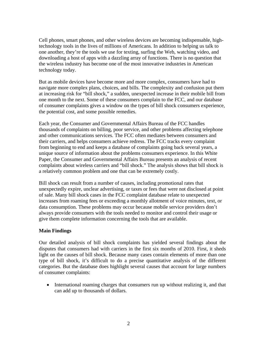Cell phones, smart phones, and other wireless devices are becoming indispensable, hightechnology tools in the lives of millions of Americans. In addition to helping us talk to one another, they're the tools we use for texting, surfing the Web, watching video, and downloading a host of apps with a dazzling array of functions. There is no question that the wireless industry has become one of the most innovative industries in American technology today.

But as mobile devices have become more and more complex, consumers have had to navigate more complex plans, choices, and bills. The complexity and confusion put them at increasing risk for "bill shock," a sudden, unexpected increase in their mobile bill from one month to the next. Some of these consumers complain to the FCC, and our database of consumer complaints gives a window on the types of bill shock consumers experience, the potential cost, and some possible remedies.

Each year, the Consumer and Governmental Affairs Bureau of the FCC handles thousands of complaints on billing, poor service, and other problems affecting telephone and other communications services. The FCC often mediates between consumers and their carriers, and helps consumers achieve redress. The FCC tracks every complaint from beginning to end and keeps a database of complaints going back several years, a unique source of information about the problems consumers experience. In this White Paper, the Consumer and Governmental Affairs Bureau presents an analysis of recent complaints about wireless carriers and "bill shock." The analysis shows that bill shock is a relatively common problem and one that can be extremely costly.

Bill shock can result from a number of causes, including promotional rates that unexpectedly expire, unclear advertising, or taxes or fees that were not disclosed at point of sale. Many bill shock cases in the FCC complaint database relate to unexpected increases from roaming fees or exceeding a monthly allotment of voice minutes, text, or data consumption. These problems may occur because mobile service providers don't always provide consumers with the tools needed to monitor and control their usage or give them complete information concerning the tools that are available.

### **Main Findings**

Our detailed analysis of bill shock complaints has yielded several findings about the disputes that consumers had with carriers in the first six months of 2010. First, it sheds light on the causes of bill shock. Because many cases contain elements of more than one type of bill shock, it's difficult to do a precise quantitative analysis of the different categories. But the database does highlight several causes that account for large numbers of consumer complaints:

• International roaming charges that consumers run up without realizing it, and that can add up to thousands of dollars.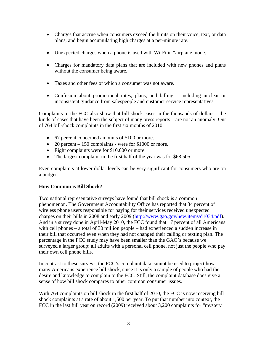- Charges that accrue when consumers exceed the limits on their voice, text, or data plans, and begin accumulating high charges at a per-minute rate.
- Unexpected charges when a phone is used with Wi-Fi in "airplane mode."
- Charges for mandatory data plans that are included with new phones and plans without the consumer being aware.
- Taxes and other fees of which a consumer was not aware.
- Confusion about promotional rates, plans, and billing including unclear or inconsistent guidance from salespeople and customer service representatives.

Complaints to the FCC also show that bill shock cases in the thousands of dollars – the kinds of cases that have been the subject of many press reports – are not an anomaly. Out of 764 bill-shock complaints in the first six months of 2010:

- 67 percent concerned amounts of \$100 or more.
- 20 percent 150 complaints were for \$1000 or more.
- Eight complaints were for \$10,000 or more.
- The largest complaint in the first half of the year was for \$68,505.

Even complaints at lower dollar levels can be very significant for consumers who are on a budget.

## **How Common is Bill Shock?**

Two national representative surveys have found that bill shock is a common phenomenon. The Government Accountability Office has reported that 34 percent of wireless phone users responsible for paying for their services received unexpected charges on their bills in 2008 and early 2009 (http://www.gao.gov/new.items/d1034.pdf). And in a survey done in April-May 2010, the FCC found that 17 percent of all Americans with cell phones – a total of 30 million people – had experienced a sudden increase in their bill that occurred even when they had not changed their calling or texting plan. The percentage in the FCC study may have been smaller than the GAO's because we surveyed a larger group: all adults with a personal cell phone, not just the people who pay their own cell phone bills.

In contrast to these surveys, the FCC's complaint data cannot be used to project how many Americans experience bill shock, since it is only a sample of people who had the desire and knowledge to complain to the FCC. Still, the complaint database does give a sense of how bill shock compares to other common consumer issues.

With 764 complaints on bill shock in the first half of 2010, the FCC is now receiving bill shock complaints at a rate of about 1,500 per year. To put that number into context, the FCC in the last full year on record (2009) received about 3,200 complaints for "mystery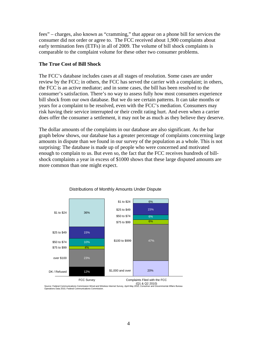fees" – charges, also known as "cramming," that appear on a phone bill for services the consumer did not order or agree to. The FCC received about 1,900 complaints about early termination fees (ETFs) in all of 2009. The volume of bill shock complaints is comparable to the complaint volume for these other two consumer problems.

## **The True Cost of Bill Shock**

The FCC's database includes cases at all stages of resolution. Some cases are under review by the FCC; in others, the FCC has served the carrier with a complaint; in others, the FCC is an active mediator; and in some cases, the bill has been resolved to the consumer's satisfaction. There's no way to assess fully how most consumers experience bill shock from our own database. But we do see certain patterns. It can take months or years for a complaint to be resolved, even with the FCC's mediation. Consumers may risk having their service interrupted or their credit rating hurt. And even when a carrier does offer the consumer a settlement, it may not be as much as they believe they deserve.

The dollar amounts of the complaints in our database are also significant. As the bar graph below shows, our database has a greater percentage of complaints concerning large amounts in dispute than we found in our survey of the population as a whole. This is not surprising: The database is made up of people who were concerned and motivated enough to complain to us. But even so, the fact that the FCC receives hundreds of billshock complaints a year in excess of \$1000 shows that these large disputed amounts are more common than one might expect.



Distributions of Monthly Amounts Under Dispute

Source: Federal Communications Commission Wired and Wireless Internet Survey, April-May 2010; Consumer and Governmental Affairs Bureau Operations Data 2010, Federal Communications Commission.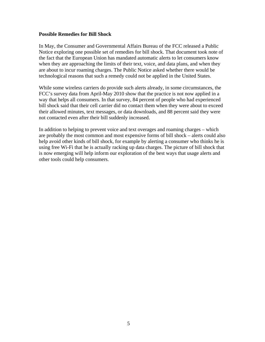#### **Possible Remedies for Bill Shock**

In May, the Consumer and Governmental Affairs Bureau of the FCC released a Public Notice exploring one possible set of remedies for bill shock. That document took note of the fact that the European Union has mandated automatic alerts to let consumers know when they are approaching the limits of their text, voice, and data plans, and when they are about to incur roaming charges. The Public Notice asked whether there would be technological reasons that such a remedy could not be applied in the United States.

While some wireless carriers do provide such alerts already, in some circumstances, the FCC's survey data from April-May 2010 show that the practice is not now applied in a way that helps all consumers. In that survey, 84 percent of people who had experienced bill shock said that their cell carrier did no contact them when they were about to exceed their allowed minutes, text messages, or data downloads, and 88 percent said they were not contacted even after their bill suddenly increased.

In addition to helping to prevent voice and text overages and roaming charges – which are probably the most common and most expensive forms of bill shock – alerts could also help avoid other kinds of bill shock, for example by alerting a consumer who thinks he is using free Wi-Fi that he is actually racking up data charges. The picture of bill shock that is now emerging will help inform our exploration of the best ways that usage alerts and other tools could help consumers.